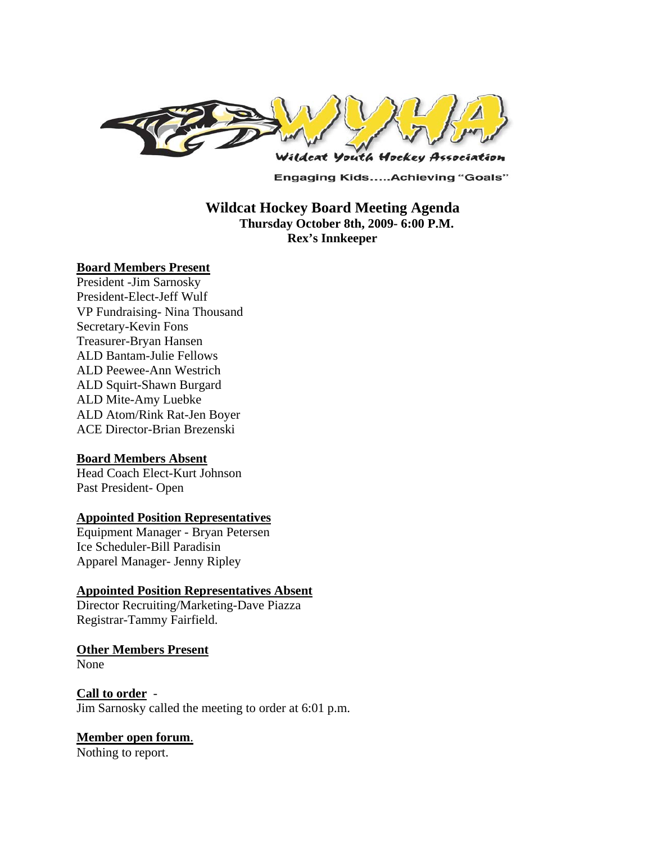

**Engaging Kids.....Achieving "Goals"** 

# **Wildcat Hockey Board Meeting Agenda Thursday October 8th, 2009- 6:00 P.M. Rex's Innkeeper**

#### **Board Members Present**

President -Jim Sarnosky President-Elect-Jeff Wulf VP Fundraising- Nina Thousand Secretary-Kevin Fons Treasurer-Bryan Hansen ALD Bantam-Julie Fellows ALD Peewee-Ann Westrich ALD Squirt-Shawn Burgard ALD Mite-Amy Luebke ALD Atom/Rink Rat-Jen Boyer ACE Director-Brian Brezenski

#### **Board Members Absent**

Head Coach Elect-Kurt Johnson Past President- Open

### **Appointed Position Representatives**

Equipment Manager - Bryan Petersen Ice Scheduler-Bill Paradisin Apparel Manager- Jenny Ripley

#### **Appointed Position Representatives Absent**

Director Recruiting/Marketing-Dave Piazza Registrar-Tammy Fairfield.

**Other Members Present** None

**Call to order** - Jim Sarnosky called the meeting to order at 6:01 p.m.

#### **Member open forum**.

Nothing to report.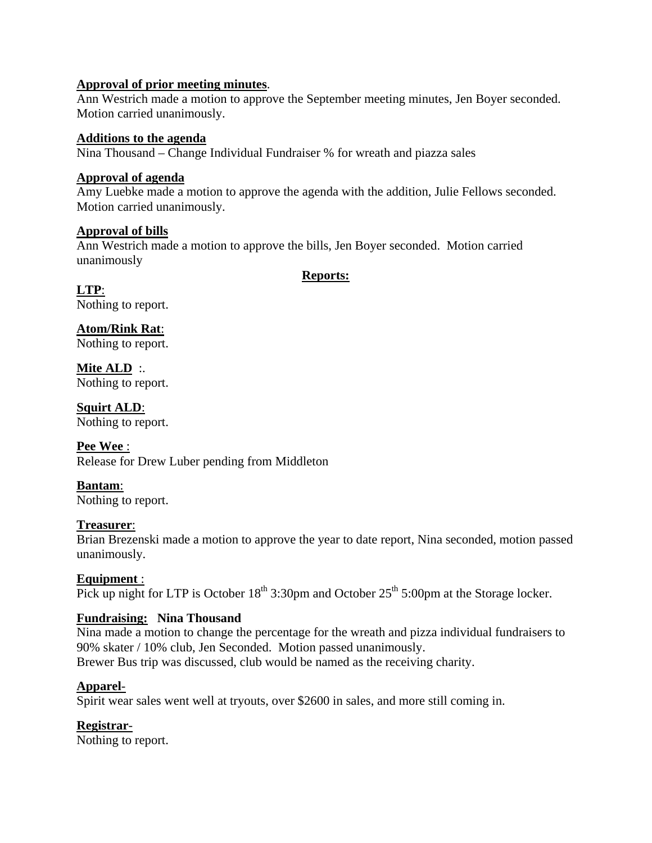#### **Approval of prior meeting minutes**.

Ann Westrich made a motion to approve the September meeting minutes, Jen Boyer seconded. Motion carried unanimously.

#### **Additions to the agenda**

Nina Thousand – Change Individual Fundraiser % for wreath and piazza sales

## **Approval of agenda**

Amy Luebke made a motion to approve the agenda with the addition, Julie Fellows seconded. Motion carried unanimously.

### **Approval of bills**

Ann Westrich made a motion to approve the bills, Jen Boyer seconded. Motion carried unanimously

**Reports:**

**LTP**: Nothing to report.

**Atom/Rink Rat**: Nothing to report.

**Mite ALD** :. Nothing to report.

**Squirt ALD**: Nothing to report.

**Pee Wee** : Release for Drew Luber pending from Middleton

**Bantam**: Nothing to report.

# **Treasurer**:

Brian Brezenski made a motion to approve the year to date report, Nina seconded, motion passed unanimously.

# **Equipment** :

Pick up night for LTP is October  $18<sup>th</sup> 3:30pm$  and October  $25<sup>th</sup> 5:00pm$  at the Storage locker.

# **Fundraising: Nina Thousand**

Nina made a motion to change the percentage for the wreath and pizza individual fundraisers to 90% skater / 10% club, Jen Seconded. Motion passed unanimously. Brewer Bus trip was discussed, club would be named as the receiving charity.

# **Apparel**-

Spirit wear sales went well at tryouts, over \$2600 in sales, and more still coming in.

# **Registrar**-

Nothing to report.